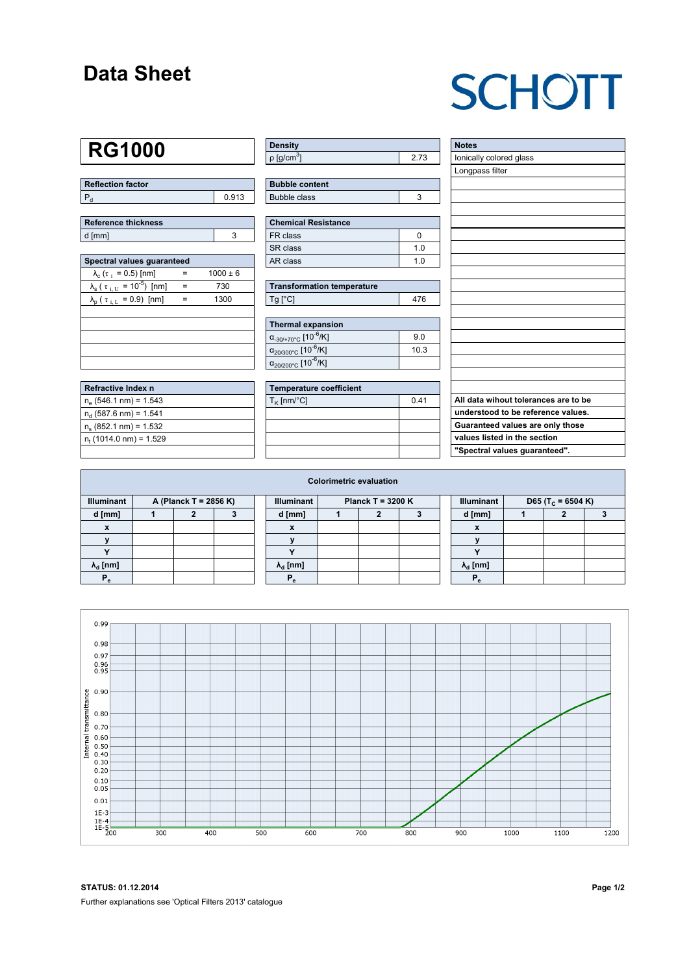### **Data Sheet**

# **SCHOTT**

## **RG1000**

| Reflection factor |       |  |  |  |  |  |
|-------------------|-------|--|--|--|--|--|
|                   | 0.913 |  |  |  |  |  |

| Reference thickness |  |  |  |  |  |  |
|---------------------|--|--|--|--|--|--|
| d [mm]              |  |  |  |  |  |  |

| Spectral values guaranteed                                     |     |              |  |  |  |  |  |  |  |
|----------------------------------------------------------------|-----|--------------|--|--|--|--|--|--|--|
| $\lambda_c$ ( $\tau_i$ = 0.5) [nm]                             |     | $1000 \pm 6$ |  |  |  |  |  |  |  |
| $\lambda_{\rm s}$ ( $\tau_{\rm i,U}$ = 10 <sup>-5</sup> ) [nm] | $=$ | 730          |  |  |  |  |  |  |  |
| $\lambda_{\rm p}$ ( $\tau_{\rm i, L}$ = 0.9) [nm]              | $=$ | 1300         |  |  |  |  |  |  |  |
|                                                                |     |              |  |  |  |  |  |  |  |
|                                                                |     |              |  |  |  |  |  |  |  |
|                                                                |     |              |  |  |  |  |  |  |  |
|                                                                |     |              |  |  |  |  |  |  |  |
|                                                                |     |              |  |  |  |  |  |  |  |

| Refractive Index n              |  |
|---------------------------------|--|
| $n_e$ (546.1 nm) = 1.543        |  |
| $n_{d}$ (587.6 nm) = 1.541      |  |
| $n_s$ (852.1 nm) = 1.532        |  |
| $n_{\rm t}$ (1014.0 nm) = 1.529 |  |
|                                 |  |

| Density                 |  |
|-------------------------|--|
| │ρ [g/cm <sup>ა</sup> ] |  |

| <b>Bubble content</b> |  |
|-----------------------|--|
| Bubble class          |  |

| <b>Chemical Resistance</b> |     |  |  |  |  |  |
|----------------------------|-----|--|--|--|--|--|
| FR class                   |     |  |  |  |  |  |
| SR class                   | 1 በ |  |  |  |  |  |
| AR class                   | 1 በ |  |  |  |  |  |

| <b>Transformation temperature</b> |     |  |  |  |  |  |
|-----------------------------------|-----|--|--|--|--|--|
| $Tg$ [ $^{\circ}$ C]              | 476 |  |  |  |  |  |

| Thermal expansion                                 |      |  |  |  |  |  |  |
|---------------------------------------------------|------|--|--|--|--|--|--|
| $\alpha_{.30/+70\degree}$ C [10 <sup>-6</sup> /K] | 90   |  |  |  |  |  |  |
| $\alpha_{20/300^{\circ}C}$ [10 <sup>-6</sup> /K]  | 10.3 |  |  |  |  |  |  |
| $\alpha_{20/200^{\circ}C}$ [10 $\overline{6}$ /K] |      |  |  |  |  |  |  |

| <b>Temperature coefficient</b> |      |  |  |  |  |  |  |
|--------------------------------|------|--|--|--|--|--|--|
| $T_{\rm K}$ [nm/°C]            | 0.41 |  |  |  |  |  |  |
|                                |      |  |  |  |  |  |  |
|                                |      |  |  |  |  |  |  |
|                                |      |  |  |  |  |  |  |
|                                |      |  |  |  |  |  |  |

| <b>Notes</b>                         |
|--------------------------------------|
| Ionically colored glass              |
| Longpass filter                      |
|                                      |
|                                      |
|                                      |
|                                      |
|                                      |
|                                      |
|                                      |
|                                      |
|                                      |
|                                      |
|                                      |
|                                      |
|                                      |
|                                      |
|                                      |
|                                      |
|                                      |
| All data wihout tolerances are to be |
| understood to be reference values.   |
| Guaranteed values are only those     |
| values listed in the section         |
| "Spectral values guaranteed".        |

| <b>Colorimetric evaluation</b>             |  |  |  |                                          |                        |  |  |  |                   |                               |  |  |  |
|--------------------------------------------|--|--|--|------------------------------------------|------------------------|--|--|--|-------------------|-------------------------------|--|--|--|
| <b>Illuminant</b><br>A (Planck T = 2856 K) |  |  |  | <b>Illuminant</b><br>Planck T = $3200 K$ |                        |  |  |  | <b>Illuminant</b> | D65 (T <sub>c</sub> = 6504 K) |  |  |  |
| d [mm]                                     |  |  |  |                                          | d [mm]                 |  |  |  |                   | d [mm]                        |  |  |  |
| $\mathbf{x}$                               |  |  |  |                                          | x                      |  |  |  |                   | $\boldsymbol{\mathsf{x}}$     |  |  |  |
|                                            |  |  |  |                                          |                        |  |  |  |                   |                               |  |  |  |
|                                            |  |  |  |                                          |                        |  |  |  |                   |                               |  |  |  |
| $\lambda_{\rm d}$ [nm]                     |  |  |  |                                          | $\lambda_{\rm d}$ [nm] |  |  |  |                   | $\lambda_{\rm d}$ [nm]        |  |  |  |
|                                            |  |  |  |                                          | Р                      |  |  |  |                   | P.                            |  |  |  |